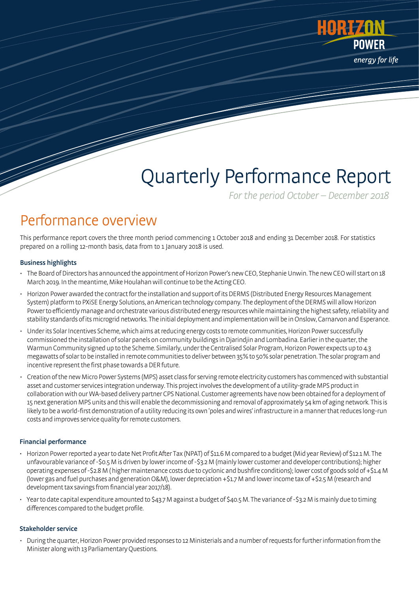

# Quarterly Performance Report

For the period October – December 2018

### Performance overview

This performance report covers the three month period commencing 1 October 2018 and ending 31 December 2018. For statistics prepared on a rolling 12-month basis, data from to 1 January 2018 is used.

#### Business highlights

- The Board of Directors has announced the appointment of Horizon Power's new CEO, Stephanie Unwin. The new CEO will start on 18 March 2019.In the meantime, Mike Houlahan will continue to be the Acting CEO.
- Horizon Power awardedthe contract for the installation and support of its DERMS (Distributed Energy Resources Management System) platform to PXiSEEnergy Solutions, an American technology company. The deployment of the DERMS will allow Horizon Power to efficiently manage and orchestrate various distributed energy resources while maintaining the highest safety, reliability and stability standards of its microgrid networks. The initial deployment and implementation will be in Onslow, Carnarvon and Esperance.
- Under its Solar Incentives Scheme, which aims at reducing energy costs to remote communities, Horizon Power successfully commissioned the installation of solar panels on community buildings in Djarindjin and Lombadina. Earlier in the quarter, the Warmun Community signed up to the Scheme. Similarly, under the Centralised Solar Program, Horizon Power expects up to 4.3 megawatts of solar to be installed in remote communities to deliver between 35% to 50% solar penetration. The solar program and incentive represent the first phase towards a DER future.
- Creationofthe new Micro Power Systems (MPS) asset class for serving remote electricity customers has commenced with substantial asset and customer services integration underway. This project involves the development of a utility-grade MPS product in collaborationwith our WA-based delivery partner CPS National. Customer agreements have now been obtained for a deployment of 15 next generation MPS units and this will enable the decommissioning and removal of approximately 54 km of aging network. This is likely to be a world-first demonstration of a utility reducing its own 'poles and wires' infrastructure in a manner that reduces long-run costs and improves service quality for remote customers.

#### Financial performance

- Horizon Power reported a year to date Net Profit After Tax (NPAT) of \$11.6 M compared to a budget (Mid year Review) of \$12.1 M. The unfavourable variance of -\$0.5 M is driven by lower income of -\$3.2 M (mainly lower customer and developer contributions); higher operating expenses of -\$2.8M ( higher maintenance costs due to cyclonic and bushfire conditions); lower cost of goods sold of +\$1.4 M (lower gas and fuel purchases and generation O&M), lower depreciation +\$1.7 M and lower income tax of +\$2.5 M (research and development tax savings from financial year 2017/18).
- Year todate capital expenditure amounted to \$43.7 M against a budget of \$40.5 M. The variance of -\$3.2 M is mainly due to timing differences compared to the budget profile.

#### Stakeholder service

• During the quarter, Horizon Power provided responses to 12 Ministerials and a number of requests for further information from the Minister along with 13 Parliamentary Questions.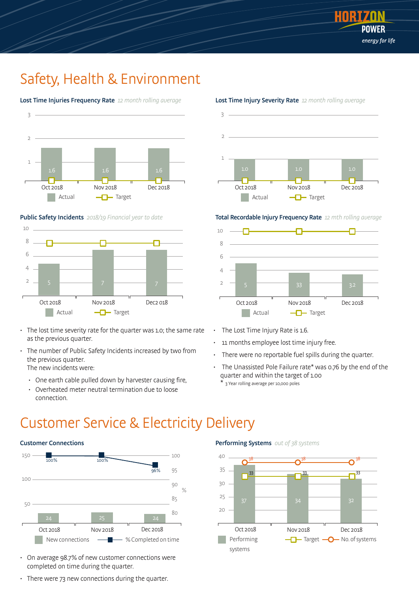

### Safety, Health & Environment



#### Lost Time Injuries Frequency Rate 12 month rolling average

#### Public Safety Incidents 2018/19 Financial year to date



- The lost time severity rate for the quarter was 1.0; the same rate as the previous quarter.
- The number of Public Safety Incidents increased by two from the previous quarter. The new incidents were:
	- One earth cable pulled down by harvester causing fire,
	- Overheated meter neutral termination due to loose connection.



#### Lost Time Injury Severity Rate 12 month rolling average

Total Recordable Injury Frequency Rate 12 mth rolling average



- The Lost Time Injury Rate is 1.6.
- 11 months employee lost time injury free.
- There were no reportable fuel spills during the quarter.
- The Unassisted Pole Failure rate\* was 0.76 by the end of the quarter and within the target of 1.00 \* 3 Year rolling average per 10,000 poles
	-

### Customer Service & Electricity Delivery



- On average 98.7% of new customer connections were completed on time during the quarter.
- There were 73 new connections during the quarter.

#### Performing Systems out of 38 systems

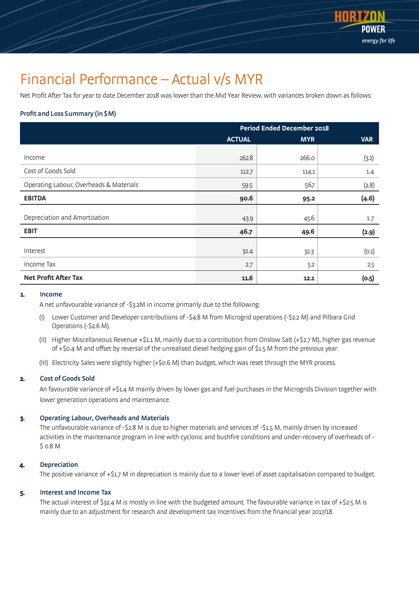

### Financial Performance – Actual v/s MYR

Net Profit After Tax for year to date December 2018 was lower than the Mid Year Review, with variances broken down as follows:

#### Profit and Loss Summary (in \$M)

|                                         | <b>Period Ended December 2018</b> |            |            |  |
|-----------------------------------------|-----------------------------------|------------|------------|--|
|                                         | <b>ACTUAL</b>                     | <b>MYR</b> | <b>VAR</b> |  |
| Income                                  | 262.8                             | 266.0      |            |  |
|                                         |                                   |            | (3.2)      |  |
| Cost of Goods Sold                      | 112.7                             | 114.1      | 1.4        |  |
| Operating Labour, Overheads & Materials | 59.5                              | 56.7       | (2.8)      |  |
| <b>EBITDA</b>                           | 90.6                              | 95.2       | (4.6)      |  |
|                                         |                                   |            |            |  |
| Depreciation and Amortisation           | 43.9                              | 45.6       | 1.7        |  |
| <b>EBIT</b>                             | 46.7                              | 49.6       | (2.9)      |  |
|                                         |                                   |            |            |  |
| Interest                                | 32.4                              | 32.3       | (0.1)      |  |
| Income Tax                              | 2.7                               | 5.2        | 2.5        |  |
| <b>Net Profit After Tax</b>             | 11.6                              | 12.1       | (0.5)      |  |

#### 1. Income

A net unfavourable variance of -\$3.2M in income primarily due to the following:

- (I) Lower Customer and Developer contributions of -\$4.8 M from Microgrid operations (-\$2.2 M) and Pilbara Grid Operations (-\$2.6 M).
- (II) Higher Miscellaneous Revenue +\$1.1 M, mainly due to a contribution from Onslow Salt (+\$2.7 M), higher gas revenue of +\$0.4 M and offset by reversal of the unrealised diesel hedging gain of \$1.5 M from the previous year.
- (III) Electricity Sales were slightly higher (+\$0.6 M) than budget, which was reset through the MYR process.

#### 2. Cost of Goods Sold

An favourable variance of +\$1.4 M mainly driven by lower gas and fuel purchases in the Microgrids Division together with lower generation operations and maintenance.

#### 3. Operating Labour, Overheads and Materials

The unfavourable variance of -\$2.8 M is due to higher materials and services of -\$1.5 M, mainly driven by increased activities in the maintenance program in line with cyclonic and bushfire conditions and under-recovery of overheads of - \$ 0.8 M

#### 4. Depreciation

The positive variance of +\$1.7 M in depreciation is mainly due to a lower level of asset capitalisation compared to budget.

#### 5. Interest and Income Tax

The actual interest of \$32.4 M is mostly in line with the budgeted amount. The favourable variance in tax of +\$2.5 M is mainly due to an adjustment for research and development tax Incentives from the financial year 2017/18.